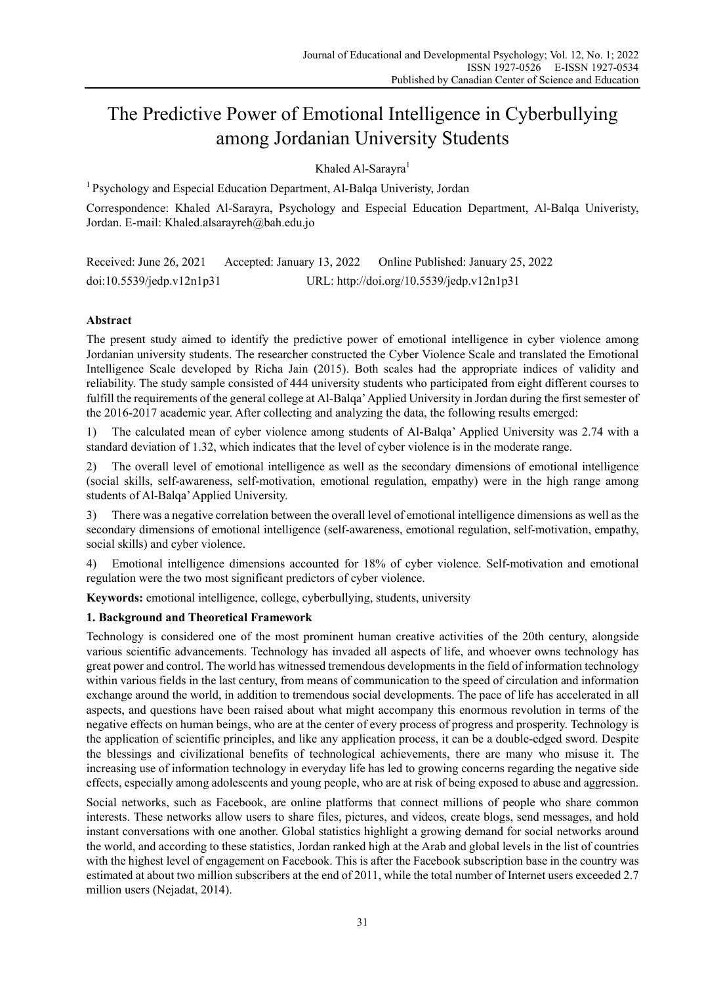# The Predictive Power of Emotional Intelligence in Cyberbullying among Jordanian University Students

Khaled Al-Sarayra<sup>1</sup>

1 Psychology and Especial Education Department, Al-Balqa Univeristy, Jordan

Correspondence: Khaled Al-Sarayra, Psychology and Especial Education Department, Al-Balqa Univeristy, Jordan. E-mail: Khaled.alsarayreh@bah.edu.jo

Received: June 26, 2021 Accepted: January 13, 2022 Online Published: January 25, 2022 doi:10.5539/jedp.v12n1p31 URL: http://doi.org/10.5539/jedp.v12n1p31

# **Abstract**

The present study aimed to identify the predictive power of emotional intelligence in cyber violence among Jordanian university students. The researcher constructed the Cyber Violence Scale and translated the Emotional Intelligence Scale developed by Richa Jain (2015). Both scales had the appropriate indices of validity and reliability. The study sample consisted of 444 university students who participated from eight different courses to fulfill the requirements of the general college at Al-Balqa' Applied University in Jordan during the first semester of the 2016-2017 academic year. After collecting and analyzing the data, the following results emerged:

1) The calculated mean of cyber violence among students of Al-Balqa' Applied University was 2.74 with a standard deviation of 1.32, which indicates that the level of cyber violence is in the moderate range.

2) The overall level of emotional intelligence as well as the secondary dimensions of emotional intelligence (social skills, self-awareness, self-motivation, emotional regulation, empathy) were in the high range among students of Al-Balqa' Applied University.

3) There was a negative correlation between the overall level of emotional intelligence dimensions as well as the secondary dimensions of emotional intelligence (self-awareness, emotional regulation, self-motivation, empathy, social skills) and cyber violence.

4) Emotional intelligence dimensions accounted for 18% of cyber violence. Self-motivation and emotional regulation were the two most significant predictors of cyber violence.

**Keywords:** emotional intelligence, college, cyberbullying, students, university

# **1. Background and Theoretical Framework**

Technology is considered one of the most prominent human creative activities of the 20th century, alongside various scientific advancements. Technology has invaded all aspects of life, and whoever owns technology has great power and control. The world has witnessed tremendous developments in the field of information technology within various fields in the last century, from means of communication to the speed of circulation and information exchange around the world, in addition to tremendous social developments. The pace of life has accelerated in all aspects, and questions have been raised about what might accompany this enormous revolution in terms of the negative effects on human beings, who are at the center of every process of progress and prosperity. Technology is the application of scientific principles, and like any application process, it can be a double-edged sword. Despite the blessings and civilizational benefits of technological achievements, there are many who misuse it. The increasing use of information technology in everyday life has led to growing concerns regarding the negative side effects, especially among adolescents and young people, who are at risk of being exposed to abuse and aggression.

Social networks, such as Facebook, are online platforms that connect millions of people who share common interests. These networks allow users to share files, pictures, and videos, create blogs, send messages, and hold instant conversations with one another. Global statistics highlight a growing demand for social networks around the world, and according to these statistics, Jordan ranked high at the Arab and global levels in the list of countries with the highest level of engagement on Facebook. This is after the Facebook subscription base in the country was estimated at about two million subscribers at the end of 2011, while the total number of Internet users exceeded 2.7 million users (Nejadat, 2014).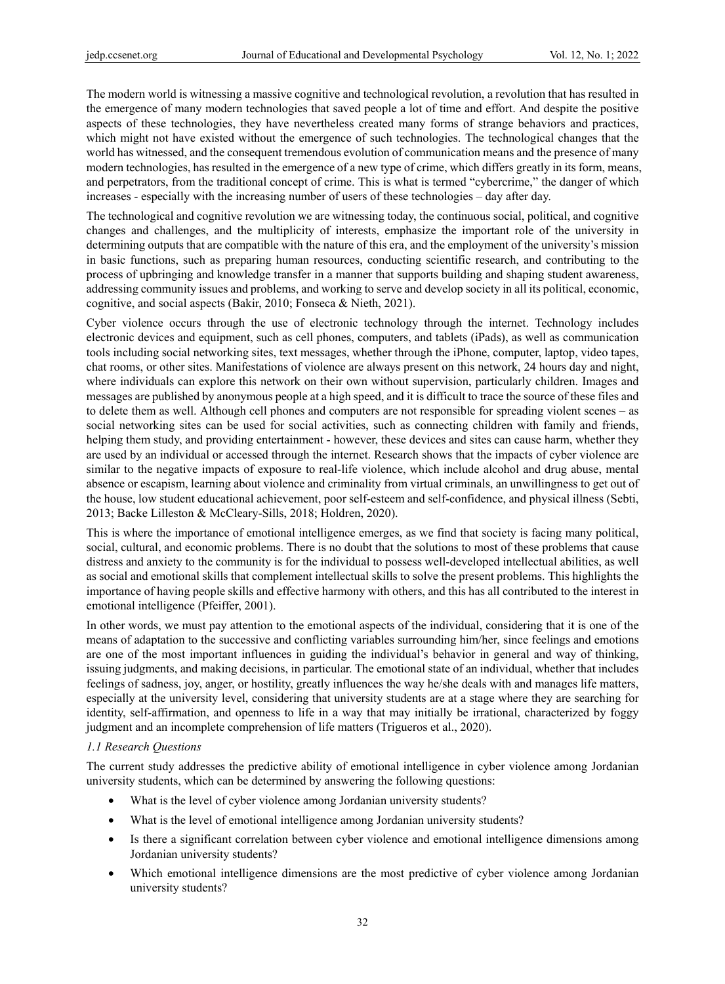The modern world is witnessing a massive cognitive and technological revolution, a revolution that has resulted in the emergence of many modern technologies that saved people a lot of time and effort. And despite the positive aspects of these technologies, they have nevertheless created many forms of strange behaviors and practices, which might not have existed without the emergence of such technologies. The technological changes that the world has witnessed, and the consequent tremendous evolution of communication means and the presence of many modern technologies, has resulted in the emergence of a new type of crime, which differs greatly in its form, means, and perpetrators, from the traditional concept of crime. This is what is termed "cybercrime," the danger of which increases - especially with the increasing number of users of these technologies – day after day.

The technological and cognitive revolution we are witnessing today, the continuous social, political, and cognitive changes and challenges, and the multiplicity of interests, emphasize the important role of the university in determining outputs that are compatible with the nature of this era, and the employment of the university's mission in basic functions, such as preparing human resources, conducting scientific research, and contributing to the process of upbringing and knowledge transfer in a manner that supports building and shaping student awareness, addressing community issues and problems, and working to serve and develop society in all its political, economic, cognitive, and social aspects (Bakir, 2010; Fonseca & Nieth, 2021).

Cyber violence occurs through the use of electronic technology through the internet. Technology includes electronic devices and equipment, such as cell phones, computers, and tablets (iPads), as well as communication tools including social networking sites, text messages, whether through the iPhone, computer, laptop, video tapes, chat rooms, or other sites. Manifestations of violence are always present on this network, 24 hours day and night, where individuals can explore this network on their own without supervision, particularly children. Images and messages are published by anonymous people at a high speed, and it is difficult to trace the source of these files and to delete them as well. Although cell phones and computers are not responsible for spreading violent scenes – as social networking sites can be used for social activities, such as connecting children with family and friends, helping them study, and providing entertainment - however, these devices and sites can cause harm, whether they are used by an individual or accessed through the internet. Research shows that the impacts of cyber violence are similar to the negative impacts of exposure to real-life violence, which include alcohol and drug abuse, mental absence or escapism, learning about violence and criminality from virtual criminals, an unwillingness to get out of the house, low student educational achievement, poor self-esteem and self-confidence, and physical illness (Sebti, 2013; Backe Lilleston & McCleary-Sills, 2018; Holdren, 2020).

This is where the importance of emotional intelligence emerges, as we find that society is facing many political, social, cultural, and economic problems. There is no doubt that the solutions to most of these problems that cause distress and anxiety to the community is for the individual to possess well-developed intellectual abilities, as well as social and emotional skills that complement intellectual skills to solve the present problems. This highlights the importance of having people skills and effective harmony with others, and this has all contributed to the interest in emotional intelligence (Pfeiffer, 2001).

In other words, we must pay attention to the emotional aspects of the individual, considering that it is one of the means of adaptation to the successive and conflicting variables surrounding him/her, since feelings and emotions are one of the most important influences in guiding the individual's behavior in general and way of thinking, issuing judgments, and making decisions, in particular. The emotional state of an individual, whether that includes feelings of sadness, joy, anger, or hostility, greatly influences the way he/she deals with and manages life matters, especially at the university level, considering that university students are at a stage where they are searching for identity, self-affirmation, and openness to life in a way that may initially be irrational, characterized by foggy judgment and an incomplete comprehension of life matters (Trigueros et al., 2020).

#### *1.1 Research Questions*

The current study addresses the predictive ability of emotional intelligence in cyber violence among Jordanian university students, which can be determined by answering the following questions:

- What is the level of cyber violence among Jordanian university students?
- What is the level of emotional intelligence among Jordanian university students?
- Is there a significant correlation between cyber violence and emotional intelligence dimensions among Jordanian university students?
- Which emotional intelligence dimensions are the most predictive of cyber violence among Jordanian university students?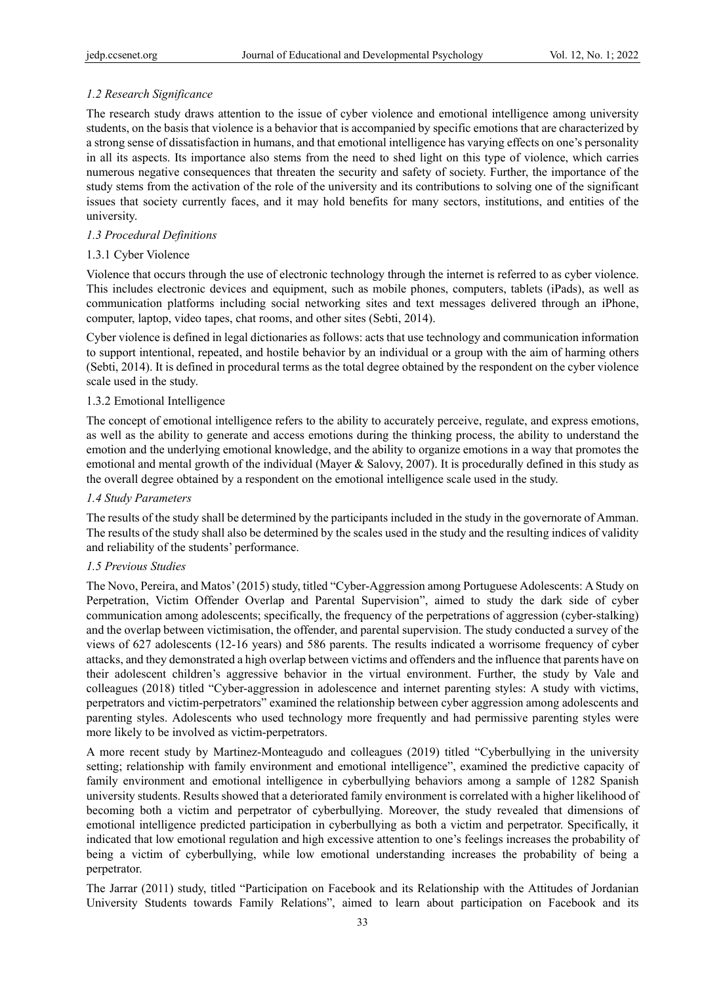## *1.2 Research Significance*

The research study draws attention to the issue of cyber violence and emotional intelligence among university students, on the basis that violence is a behavior that is accompanied by specific emotions that are characterized by a strong sense of dissatisfaction in humans, and that emotional intelligence has varying effects on one's personality in all its aspects. Its importance also stems from the need to shed light on this type of violence, which carries numerous negative consequences that threaten the security and safety of society. Further, the importance of the study stems from the activation of the role of the university and its contributions to solving one of the significant issues that society currently faces, and it may hold benefits for many sectors, institutions, and entities of the university.

#### *1.3 Procedural Definitions*

#### 1.3.1 Cyber Violence

Violence that occurs through the use of electronic technology through the internet is referred to as cyber violence. This includes electronic devices and equipment, such as mobile phones, computers, tablets (iPads), as well as communication platforms including social networking sites and text messages delivered through an iPhone, computer, laptop, video tapes, chat rooms, and other sites (Sebti, 2014).

Cyber violence is defined in legal dictionaries as follows: acts that use technology and communication information to support intentional, repeated, and hostile behavior by an individual or a group with the aim of harming others (Sebti, 2014). It is defined in procedural terms as the total degree obtained by the respondent on the cyber violence scale used in the study.

### 1.3.2 Emotional Intelligence

The concept of emotional intelligence refers to the ability to accurately perceive, regulate, and express emotions, as well as the ability to generate and access emotions during the thinking process, the ability to understand the emotion and the underlying emotional knowledge, and the ability to organize emotions in a way that promotes the emotional and mental growth of the individual (Mayer & Salovy, 2007). It is procedurally defined in this study as the overall degree obtained by a respondent on the emotional intelligence scale used in the study.

#### *1.4 Study Parameters*

The results of the study shall be determined by the participants included in the study in the governorate of Amman. The results of the study shall also be determined by the scales used in the study and the resulting indices of validity and reliability of the students' performance.

#### *1.5 Previous Studies*

The Novo, Pereira, and Matos' (2015) study, titled "Cyber-Aggression among Portuguese Adolescents: A Study on Perpetration, Victim Offender Overlap and Parental Supervision", aimed to study the dark side of cyber communication among adolescents; specifically, the frequency of the perpetrations of aggression (cyber-stalking) and the overlap between victimisation, the offender, and parental supervision. The study conducted a survey of the views of 627 adolescents (12-16 years) and 586 parents. The results indicated a worrisome frequency of cyber attacks, and they demonstrated a high overlap between victims and offenders and the influence that parents have on their adolescent children's aggressive behavior in the virtual environment. Further, the study by Vale and colleagues (2018) titled "Cyber-aggression in adolescence and internet parenting styles: A study with victims, perpetrators and victim-perpetrators" examined the relationship between cyber aggression among adolescents and parenting styles. Adolescents who used technology more frequently and had permissive parenting styles were more likely to be involved as victim-perpetrators.

A more recent study by Martinez-Monteagudo and colleagues (2019) titled "Cyberbullying in the university setting; relationship with family environment and emotional intelligence", examined the predictive capacity of family environment and emotional intelligence in cyberbullying behaviors among a sample of 1282 Spanish university students. Results showed that a deteriorated family environment is correlated with a higher likelihood of becoming both a victim and perpetrator of cyberbullying. Moreover, the study revealed that dimensions of emotional intelligence predicted participation in cyberbullying as both a victim and perpetrator. Specifically, it indicated that low emotional regulation and high excessive attention to one's feelings increases the probability of being a victim of cyberbullying, while low emotional understanding increases the probability of being a perpetrator.

The Jarrar (2011) study, titled "Participation on Facebook and its Relationship with the Attitudes of Jordanian University Students towards Family Relations", aimed to learn about participation on Facebook and its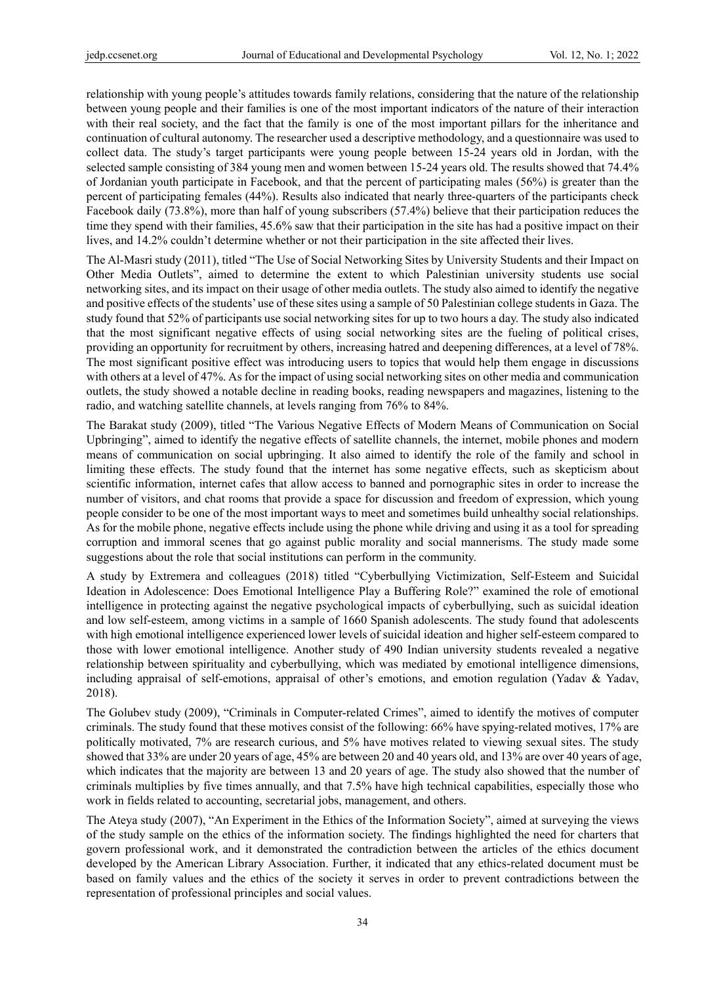relationship with young people's attitudes towards family relations, considering that the nature of the relationship between young people and their families is one of the most important indicators of the nature of their interaction with their real society, and the fact that the family is one of the most important pillars for the inheritance and continuation of cultural autonomy. The researcher used a descriptive methodology, and a questionnaire was used to collect data. The study's target participants were young people between 15-24 years old in Jordan, with the selected sample consisting of 384 young men and women between 15-24 years old. The results showed that 74.4% of Jordanian youth participate in Facebook, and that the percent of participating males (56%) is greater than the percent of participating females (44%). Results also indicated that nearly three-quarters of the participants check Facebook daily (73.8%), more than half of young subscribers (57.4%) believe that their participation reduces the time they spend with their families, 45.6% saw that their participation in the site has had a positive impact on their lives, and 14.2% couldn't determine whether or not their participation in the site affected their lives.

The Al-Masri study (2011), titled "The Use of Social Networking Sites by University Students and their Impact on Other Media Outlets", aimed to determine the extent to which Palestinian university students use social networking sites, and its impact on their usage of other media outlets. The study also aimed to identify the negative and positive effects of the students' use of these sites using a sample of 50 Palestinian college students in Gaza. The study found that 52% of participants use social networking sites for up to two hours a day. The study also indicated that the most significant negative effects of using social networking sites are the fueling of political crises, providing an opportunity for recruitment by others, increasing hatred and deepening differences, at a level of 78%. The most significant positive effect was introducing users to topics that would help them engage in discussions with others at a level of 47%. As for the impact of using social networking sites on other media and communication outlets, the study showed a notable decline in reading books, reading newspapers and magazines, listening to the radio, and watching satellite channels, at levels ranging from 76% to 84%.

The Barakat study (2009), titled "The Various Negative Effects of Modern Means of Communication on Social Upbringing", aimed to identify the negative effects of satellite channels, the internet, mobile phones and modern means of communication on social upbringing. It also aimed to identify the role of the family and school in limiting these effects. The study found that the internet has some negative effects, such as skepticism about scientific information, internet cafes that allow access to banned and pornographic sites in order to increase the number of visitors, and chat rooms that provide a space for discussion and freedom of expression, which young people consider to be one of the most important ways to meet and sometimes build unhealthy social relationships. As for the mobile phone, negative effects include using the phone while driving and using it as a tool for spreading corruption and immoral scenes that go against public morality and social mannerisms. The study made some suggestions about the role that social institutions can perform in the community.

A study by Extremera and colleagues (2018) titled "Cyberbullying Victimization, Self-Esteem and Suicidal Ideation in Adolescence: Does Emotional Intelligence Play a Buffering Role?" examined the role of emotional intelligence in protecting against the negative psychological impacts of cyberbullying, such as suicidal ideation and low self-esteem, among victims in a sample of 1660 Spanish adolescents. The study found that adolescents with high emotional intelligence experienced lower levels of suicidal ideation and higher self-esteem compared to those with lower emotional intelligence. Another study of 490 Indian university students revealed a negative relationship between spirituality and cyberbullying, which was mediated by emotional intelligence dimensions, including appraisal of self-emotions, appraisal of other's emotions, and emotion regulation (Yadav & Yadav, 2018).

The Golubev study (2009), "Criminals in Computer-related Crimes", aimed to identify the motives of computer criminals. The study found that these motives consist of the following: 66% have spying-related motives, 17% are politically motivated, 7% are research curious, and 5% have motives related to viewing sexual sites. The study showed that 33% are under 20 years of age, 45% are between 20 and 40 years old, and 13% are over 40 years of age, which indicates that the majority are between 13 and 20 years of age. The study also showed that the number of criminals multiplies by five times annually, and that 7.5% have high technical capabilities, especially those who work in fields related to accounting, secretarial jobs, management, and others.

The Ateya study (2007), "An Experiment in the Ethics of the Information Society", aimed at surveying the views of the study sample on the ethics of the information society. The findings highlighted the need for charters that govern professional work, and it demonstrated the contradiction between the articles of the ethics document developed by the American Library Association. Further, it indicated that any ethics-related document must be based on family values and the ethics of the society it serves in order to prevent contradictions between the representation of professional principles and social values.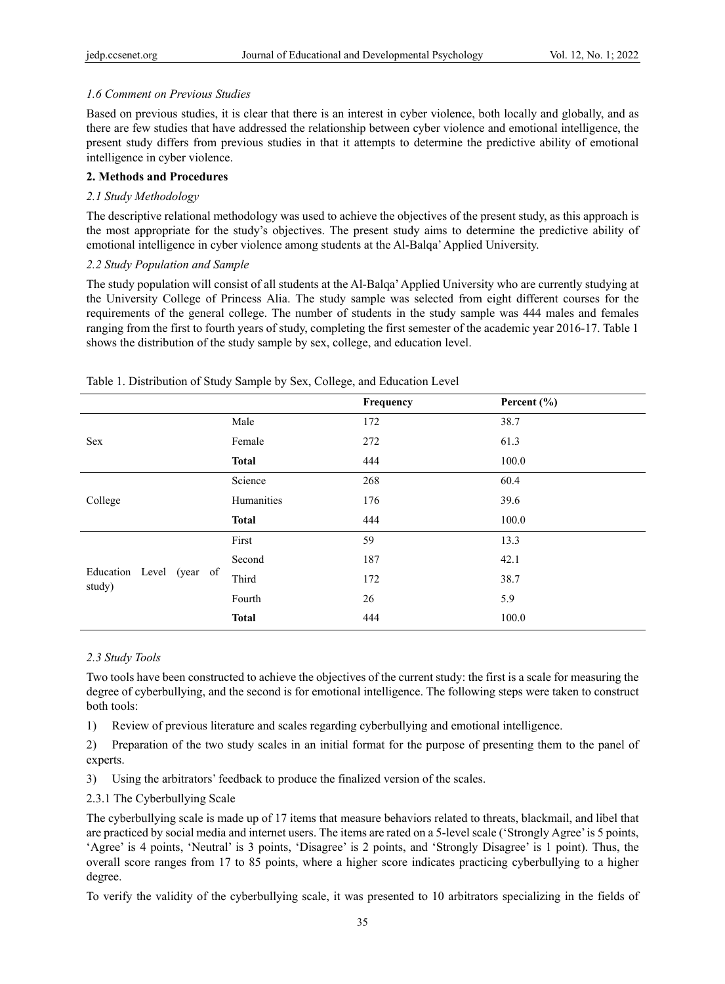# *1.6 Comment on Previous Studies*

Based on previous studies, it is clear that there is an interest in cyber violence, both locally and globally, and as there are few studies that have addressed the relationship between cyber violence and emotional intelligence, the present study differs from previous studies in that it attempts to determine the predictive ability of emotional intelligence in cyber violence.

# **2. Methods and Procedures**

# *2.1 Study Methodology*

The descriptive relational methodology was used to achieve the objectives of the present study, as this approach is the most appropriate for the study's objectives. The present study aims to determine the predictive ability of emotional intelligence in cyber violence among students at the Al-Balqa' Applied University.

# *2.2 Study Population and Sample*

The study population will consist of all students at the Al-Balqa' Applied University who are currently studying at the University College of Princess Alia. The study sample was selected from eight different courses for the requirements of the general college. The number of students in the study sample was 444 males and females ranging from the first to fourth years of study, completing the first semester of the academic year 2016-17. Table 1 shows the distribution of the study sample by sex, college, and education level.

|                                    |  |              |              | Frequency | Percent (%) |
|------------------------------------|--|--------------|--------------|-----------|-------------|
| Sex                                |  | Male         | 172          | 38.7      |             |
|                                    |  | Female       | 272          | 61.3      |             |
|                                    |  | <b>Total</b> | 444          | 100.0     |             |
| College                            |  | Science      | 268          | 60.4      |             |
|                                    |  | Humanities   | 176          | 39.6      |             |
|                                    |  | <b>Total</b> | 444          | 100.0     |             |
|                                    |  |              | First        | 59        | 13.3        |
|                                    |  |              | Second       | 187       | 42.1        |
| Education Level (year of<br>study) |  |              | Third        | 172       | 38.7        |
|                                    |  |              | Fourth       | 26        | 5.9         |
|                                    |  |              | <b>Total</b> | 444       | 100.0       |

## Table 1. Distribution of Study Sample by Sex, College, and Education Level

# *2.3 Study Tools*

Two tools have been constructed to achieve the objectives of the current study: the first is a scale for measuring the degree of cyberbullying, and the second is for emotional intelligence. The following steps were taken to construct both tools:

1) Review of previous literature and scales regarding cyberbullying and emotional intelligence.

2) Preparation of the two study scales in an initial format for the purpose of presenting them to the panel of experts.

- 3) Using the arbitrators' feedback to produce the finalized version of the scales.
- 2.3.1 The Cyberbullying Scale

The cyberbullying scale is made up of 17 items that measure behaviors related to threats, blackmail, and libel that are practiced by social media and internet users. The items are rated on a 5-level scale ('Strongly Agree' is 5 points, 'Agree' is 4 points, 'Neutral' is 3 points, 'Disagree' is 2 points, and 'Strongly Disagree' is 1 point). Thus, the overall score ranges from 17 to 85 points, where a higher score indicates practicing cyberbullying to a higher degree.

To verify the validity of the cyberbullying scale, it was presented to 10 arbitrators specializing in the fields of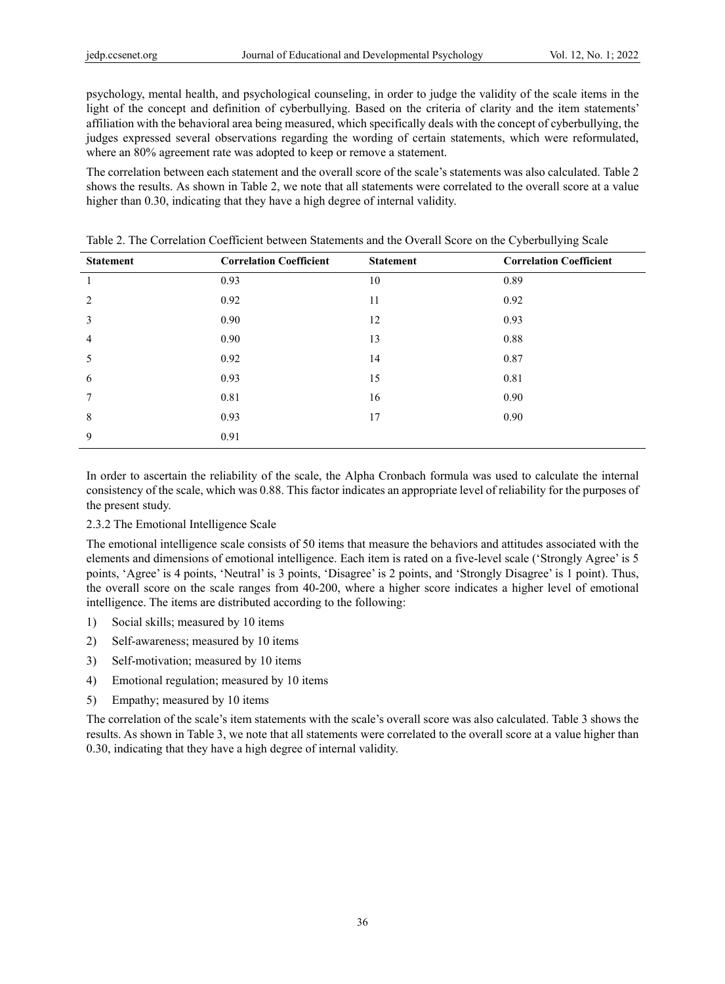psychology, mental health, and psychological counseling, in order to judge the validity of the scale items in the light of the concept and definition of cyberbullying. Based on the criteria of clarity and the item statements' affiliation with the behavioral area being measured, which specifically deals with the concept of cyberbullying, the judges expressed several observations regarding the wording of certain statements, which were reformulated, where an 80% agreement rate was adopted to keep or remove a statement.

The correlation between each statement and the overall score of the scale's statements was also calculated. Table 2 shows the results. As shown in Table 2, we note that all statements were correlated to the overall score at a value higher than 0.30, indicating that they have a high degree of internal validity.

| <b>Statement</b> | <b>Correlation Coefficient</b> | <b>Statement</b> | <b>Correlation Coefficient</b> |
|------------------|--------------------------------|------------------|--------------------------------|
|                  | 0.93                           | 10               | 0.89                           |
| $\mathcal{L}$    | 0.92                           | 11               | 0.92                           |
| 3                | 0.90                           | 12               | 0.93                           |
| 4                | 0.90                           | 13               | 0.88                           |
| 5                | 0.92                           | 14               | 0.87                           |
| 6                | 0.93                           | 15               | 0.81                           |
| 7                | 0.81                           | 16               | 0.90                           |
| 8                | 0.93                           | 17               | 0.90                           |
| 9                | 0.91                           |                  |                                |

Table 2. The Correlation Coefficient between Statements and the Overall Score on the Cyberbullying Scale

In order to ascertain the reliability of the scale, the Alpha Cronbach formula was used to calculate the internal consistency of the scale, which was 0.88. This factor indicates an appropriate level of reliability for the purposes of the present study.

## 2.3.2 The Emotional Intelligence Scale

The emotional intelligence scale consists of 50 items that measure the behaviors and attitudes associated with the elements and dimensions of emotional intelligence. Each item is rated on a five-level scale ('Strongly Agree' is 5 points, 'Agree' is 4 points, 'Neutral' is 3 points, 'Disagree' is 2 points, and 'Strongly Disagree' is 1 point). Thus, the overall score on the scale ranges from 40-200, where a higher score indicates a higher level of emotional intelligence. The items are distributed according to the following:

- 1) Social skills; measured by 10 items
- 2) Self-awareness; measured by 10 items
- 3) Self-motivation; measured by 10 items
- 4) Emotional regulation; measured by 10 items
- 5) Empathy; measured by 10 items

The correlation of the scale's item statements with the scale's overall score was also calculated. Table 3 shows the results. As shown in Table 3, we note that all statements were correlated to the overall score at a value higher than 0.30, indicating that they have a high degree of internal validity.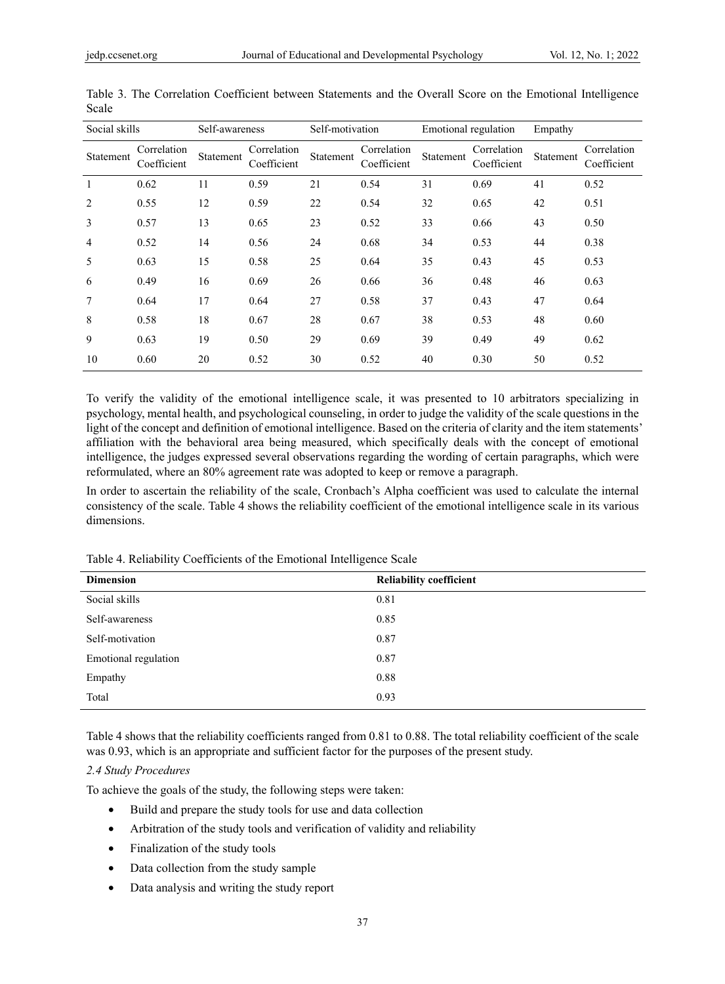| Social skills  |                            | Self-awareness |                            | Self-motivation |                            | Emotional regulation |                            | Empathy   |                            |
|----------------|----------------------------|----------------|----------------------------|-----------------|----------------------------|----------------------|----------------------------|-----------|----------------------------|
| Statement      | Correlation<br>Coefficient | Statement      | Correlation<br>Coefficient | Statement       | Correlation<br>Coefficient | Statement            | Correlation<br>Coefficient | Statement | Correlation<br>Coefficient |
| $\mathbf{1}$   | 0.62                       | 11             | 0.59                       | 21              | 0.54                       | 31                   | 0.69                       | 41        | 0.52                       |
| 2              | 0.55                       | 12             | 0.59                       | 22              | 0.54                       | 32                   | 0.65                       | 42        | 0.51                       |
| $\mathfrak{Z}$ | 0.57                       | 13             | 0.65                       | 23              | 0.52                       | 33                   | 0.66                       | 43        | 0.50                       |
| $\overline{4}$ | 0.52                       | 14             | 0.56                       | 24              | 0.68                       | 34                   | 0.53                       | 44        | 0.38                       |
| 5              | 0.63                       | 15             | 0.58                       | 25              | 0.64                       | 35                   | 0.43                       | 45        | 0.53                       |
| 6              | 0.49                       | 16             | 0.69                       | 26              | 0.66                       | 36                   | 0.48                       | 46        | 0.63                       |
| 7              | 0.64                       | 17             | 0.64                       | 27              | 0.58                       | 37                   | 0.43                       | 47        | 0.64                       |
| 8              | 0.58                       | 18             | 0.67                       | 28              | 0.67                       | 38                   | 0.53                       | 48        | 0.60                       |
| 9              | 0.63                       | 19             | 0.50                       | 29              | 0.69                       | 39                   | 0.49                       | 49        | 0.62                       |
| 10             | 0.60                       | 20             | 0.52                       | 30              | 0.52                       | 40                   | 0.30                       | 50        | 0.52                       |

Table 3. The Correlation Coefficient between Statements and the Overall Score on the Emotional Intelligence Scale

To verify the validity of the emotional intelligence scale, it was presented to 10 arbitrators specializing in psychology, mental health, and psychological counseling, in order to judge the validity of the scale questions in the light of the concept and definition of emotional intelligence. Based on the criteria of clarity and the item statements' affiliation with the behavioral area being measured, which specifically deals with the concept of emotional intelligence, the judges expressed several observations regarding the wording of certain paragraphs, which were reformulated, where an 80% agreement rate was adopted to keep or remove a paragraph.

In order to ascertain the reliability of the scale, Cronbach's Alpha coefficient was used to calculate the internal consistency of the scale. Table 4 shows the reliability coefficient of the emotional intelligence scale in its various dimensions.

| <b>Dimension</b>     | <b>Reliability coefficient</b> |
|----------------------|--------------------------------|
| Social skills        | 0.81                           |
| Self-awareness       | 0.85                           |
| Self-motivation      | 0.87                           |
| Emotional regulation | 0.87                           |
| Empathy              | 0.88                           |
| Total                | 0.93                           |

Table 4. Reliability Coefficients of the Emotional Intelligence Scale

Table 4 shows that the reliability coefficients ranged from 0.81 to 0.88. The total reliability coefficient of the scale was 0.93, which is an appropriate and sufficient factor for the purposes of the present study.

## *2.4 Study Procedures*

To achieve the goals of the study, the following steps were taken:

- Build and prepare the study tools for use and data collection
- Arbitration of the study tools and verification of validity and reliability
- Finalization of the study tools
- Data collection from the study sample
- Data analysis and writing the study report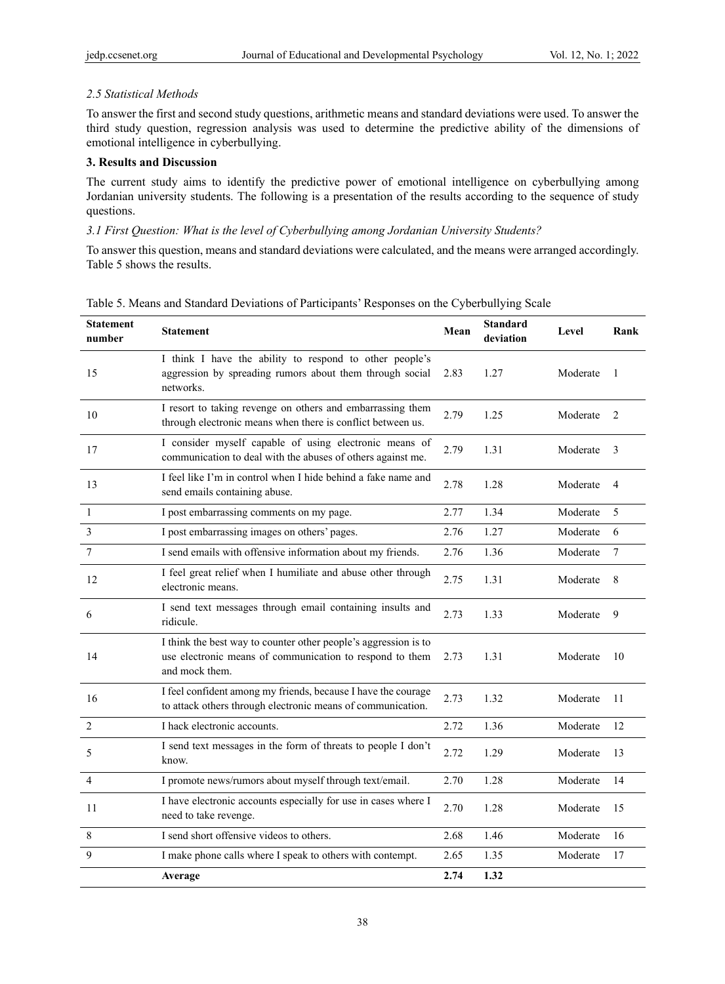## *2.5 Statistical Methods*

To answer the first and second study questions, arithmetic means and standard deviations were used. To answer the third study question, regression analysis was used to determine the predictive ability of the dimensions of emotional intelligence in cyberbullying.

# **3. Results and Discussion**

The current study aims to identify the predictive power of emotional intelligence on cyberbullying among Jordanian university students. The following is a presentation of the results according to the sequence of study questions.

*3.1 First Question: What is the level of Cyberbullying among Jordanian University Students?* 

To answer this question, means and standard deviations were calculated, and the means were arranged accordingly. Table 5 shows the results.

| <b>Statement</b><br>number | <b>Statement</b>                                                                                                                              | Mean | <b>Standard</b><br>deviation | Level    | Rank           |
|----------------------------|-----------------------------------------------------------------------------------------------------------------------------------------------|------|------------------------------|----------|----------------|
| 15                         | I think I have the ability to respond to other people's<br>aggression by spreading rumors about them through social<br>networks.              | 2.83 | 1.27                         | Moderate | $\overline{1}$ |
| 10                         | I resort to taking revenge on others and embarrassing them<br>through electronic means when there is conflict between us.                     | 2.79 | 1.25                         | Moderate | 2              |
| 17                         | I consider myself capable of using electronic means of<br>communication to deal with the abuses of others against me.                         | 2.79 | 1.31                         | Moderate | 3              |
| 13                         | I feel like I'm in control when I hide behind a fake name and<br>send emails containing abuse.                                                | 2.78 | 1.28                         | Moderate | 4              |
| 1                          | I post embarrassing comments on my page.                                                                                                      | 2.77 | 1.34                         | Moderate | 5              |
| 3                          | I post embarrassing images on others' pages.                                                                                                  | 2.76 | 1.27                         | Moderate | 6              |
| $\overline{7}$             | I send emails with offensive information about my friends.                                                                                    | 2.76 | 1.36                         | Moderate | $\tau$         |
| 12                         | I feel great relief when I humiliate and abuse other through<br>electronic means.                                                             | 2.75 | 1.31                         | Moderate | 8              |
| 6                          | I send text messages through email containing insults and<br>ridicule.                                                                        | 2.73 | 1.33                         | Moderate | 9              |
| 14                         | I think the best way to counter other people's aggression is to<br>use electronic means of communication to respond to them<br>and mock them. | 2.73 | 1.31                         | Moderate | 10             |
| 16                         | I feel confident among my friends, because I have the courage<br>to attack others through electronic means of communication.                  | 2.73 | 1.32                         | Moderate | 11             |
| 2                          | I hack electronic accounts.                                                                                                                   | 2.72 | 1.36                         | Moderate | 12             |
| 5                          | I send text messages in the form of threats to people I don't<br>know.                                                                        | 2.72 | 1.29                         | Moderate | 13             |
| 4                          | I promote news/rumors about myself through text/email.                                                                                        | 2.70 | 1.28                         | Moderate | 14             |
| 11                         | I have electronic accounts especially for use in cases where I<br>need to take revenge.                                                       | 2.70 | 1.28                         | Moderate | 15             |
| 8                          | I send short offensive videos to others.                                                                                                      | 2.68 | 1.46                         | Moderate | 16             |
| 9                          | I make phone calls where I speak to others with contempt.                                                                                     | 2.65 | 1.35                         | Moderate | 17             |
|                            | Average                                                                                                                                       | 2.74 | 1.32                         |          |                |

Table 5. Means and Standard Deviations of Participants' Responses on the Cyberbullying Scale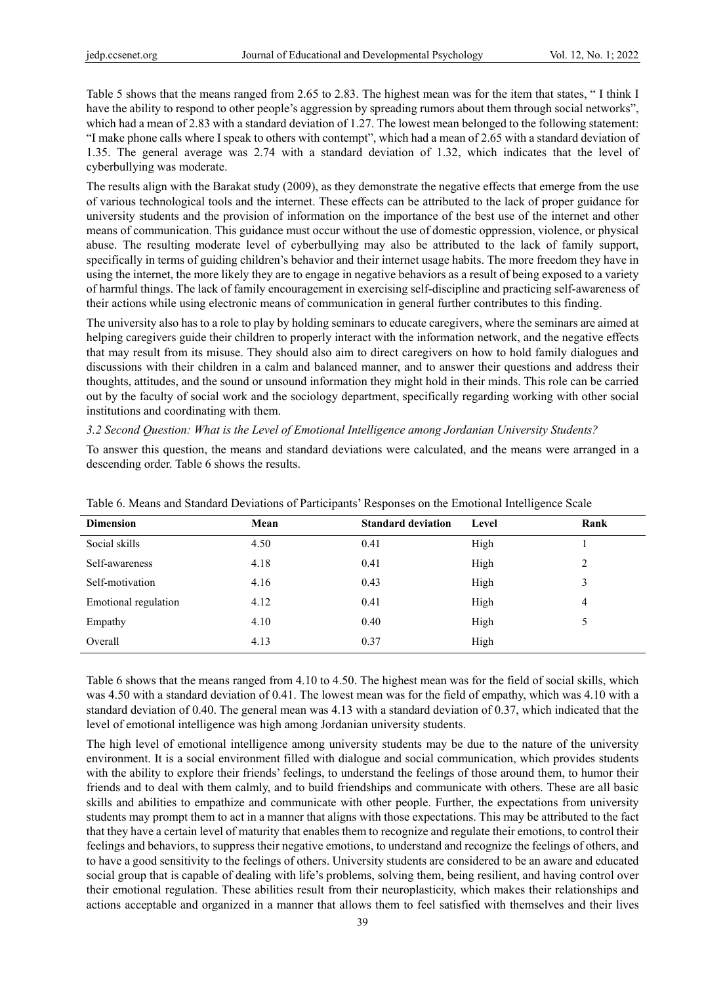Table 5 shows that the means ranged from 2.65 to 2.83. The highest mean was for the item that states, " I think I have the ability to respond to other people's aggression by spreading rumors about them through social networks", which had a mean of 2.83 with a standard deviation of 1.27. The lowest mean belonged to the following statement: "I make phone calls where I speak to others with contempt", which had a mean of 2.65 with a standard deviation of 1.35. The general average was 2.74 with a standard deviation of 1.32, which indicates that the level of cyberbullying was moderate.

The results align with the Barakat study (2009), as they demonstrate the negative effects that emerge from the use of various technological tools and the internet. These effects can be attributed to the lack of proper guidance for university students and the provision of information on the importance of the best use of the internet and other means of communication. This guidance must occur without the use of domestic oppression, violence, or physical abuse. The resulting moderate level of cyberbullying may also be attributed to the lack of family support, specifically in terms of guiding children's behavior and their internet usage habits. The more freedom they have in using the internet, the more likely they are to engage in negative behaviors as a result of being exposed to a variety of harmful things. The lack of family encouragement in exercising self-discipline and practicing self-awareness of their actions while using electronic means of communication in general further contributes to this finding.

The university also has to a role to play by holding seminars to educate caregivers, where the seminars are aimed at helping caregivers guide their children to properly interact with the information network, and the negative effects that may result from its misuse. They should also aim to direct caregivers on how to hold family dialogues and discussions with their children in a calm and balanced manner, and to answer their questions and address their thoughts, attitudes, and the sound or unsound information they might hold in their minds. This role can be carried out by the faculty of social work and the sociology department, specifically regarding working with other social institutions and coordinating with them.

#### *3.2 Second Question: What is the Level of Emotional Intelligence among Jordanian University Students?*

To answer this question, the means and standard deviations were calculated, and the means were arranged in a descending order. Table 6 shows the results.

| <b>Dimension</b>     | Mean | <b>Standard deviation</b> | Level | Rank |
|----------------------|------|---------------------------|-------|------|
| Social skills        | 4.50 | 0.41                      | High  |      |
| Self-awareness       | 4.18 | 0.41                      | High  | 2    |
| Self-motivation      | 4.16 | 0.43                      | High  | 3    |
| Emotional regulation | 4.12 | 0.41                      | High  | 4    |
| Empathy              | 4.10 | 0.40                      | High  | 5    |
| Overall              | 4.13 | 0.37                      | High  |      |

Table 6. Means and Standard Deviations of Participants' Responses on the Emotional Intelligence Scale

Table 6 shows that the means ranged from 4.10 to 4.50. The highest mean was for the field of social skills, which was 4.50 with a standard deviation of 0.41. The lowest mean was for the field of empathy, which was 4.10 with a standard deviation of 0.40. The general mean was 4.13 with a standard deviation of 0.37, which indicated that the level of emotional intelligence was high among Jordanian university students.

The high level of emotional intelligence among university students may be due to the nature of the university environment. It is a social environment filled with dialogue and social communication, which provides students with the ability to explore their friends' feelings, to understand the feelings of those around them, to humor their friends and to deal with them calmly, and to build friendships and communicate with others. These are all basic skills and abilities to empathize and communicate with other people. Further, the expectations from university students may prompt them to act in a manner that aligns with those expectations. This may be attributed to the fact that they have a certain level of maturity that enables them to recognize and regulate their emotions, to control their feelings and behaviors, to suppress their negative emotions, to understand and recognize the feelings of others, and to have a good sensitivity to the feelings of others. University students are considered to be an aware and educated social group that is capable of dealing with life's problems, solving them, being resilient, and having control over their emotional regulation. These abilities result from their neuroplasticity, which makes their relationships and actions acceptable and organized in a manner that allows them to feel satisfied with themselves and their lives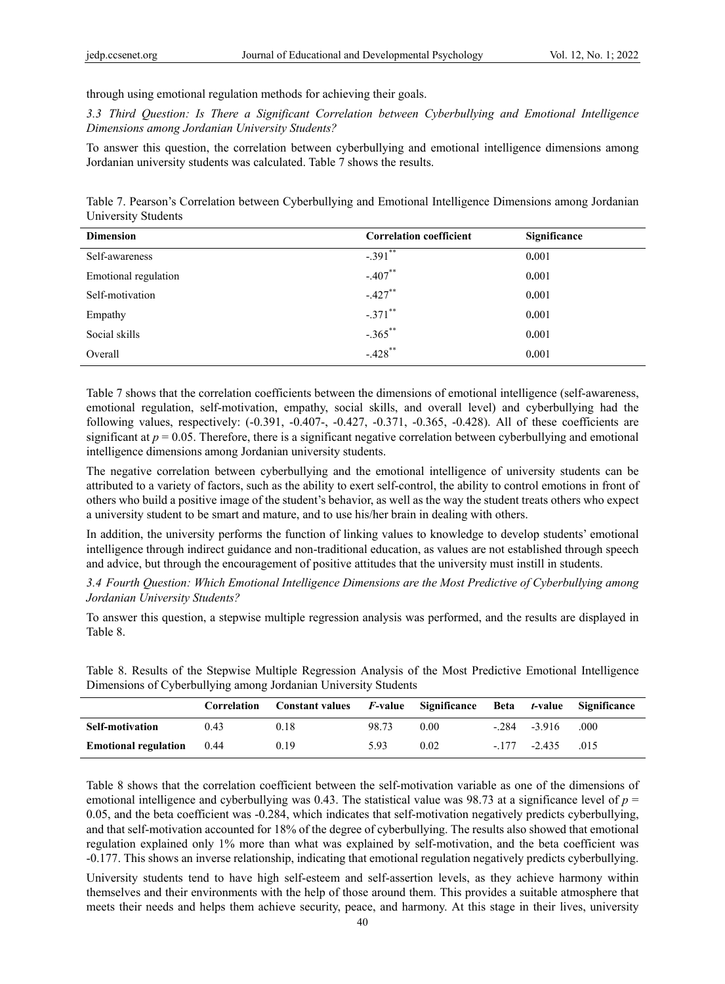through using emotional regulation methods for achieving their goals.

*3.3 Third Question: Is There a Significant Correlation between Cyberbullying and Emotional Intelligence Dimensions among Jordanian University Students?* 

To answer this question, the correlation between cyberbullying and emotional intelligence dimensions among Jordanian university students was calculated. Table 7 shows the results.

Table 7. Pearson's Correlation between Cyberbullying and Emotional Intelligence Dimensions among Jordanian University Students

| <b>Dimension</b>     | <b>Correlation coefficient</b> | Significance |
|----------------------|--------------------------------|--------------|
| Self-awareness       | $-.391$ **                     | 0.001        |
| Emotional regulation | $-.407**$                      | 0.001        |
| Self-motivation      | $-.427***$                     | 0.001        |
| Empathy              | $-.371$ **                     | 0.001        |
| Social skills        | $-.365***$                     | 0.001        |
| Overall              | $-.428$ **                     | 0.001        |

Table 7 shows that the correlation coefficients between the dimensions of emotional intelligence (self-awareness, emotional regulation, self-motivation, empathy, social skills, and overall level) and cyberbullying had the following values, respectively: (-0.391, -0.407-, -0.427, -0.371, -0.365, -0.428). All of these coefficients are significant at  $p = 0.05$ . Therefore, there is a significant negative correlation between cyberbullying and emotional intelligence dimensions among Jordanian university students.

The negative correlation between cyberbullying and the emotional intelligence of university students can be attributed to a variety of factors, such as the ability to exert self-control, the ability to control emotions in front of others who build a positive image of the student's behavior, as well as the way the student treats others who expect a university student to be smart and mature, and to use his/her brain in dealing with others.

In addition, the university performs the function of linking values to knowledge to develop students' emotional intelligence through indirect guidance and non-traditional education, as values are not established through speech and advice, but through the encouragement of positive attitudes that the university must instill in students.

*3.4 Fourth Question: Which Emotional Intelligence Dimensions are the Most Predictive of Cyberbullying among Jordanian University Students?* 

To answer this question, a stepwise multiple regression analysis was performed, and the results are displayed in Table 8.

Table 8. Results of the Stepwise Multiple Regression Analysis of the Most Predictive Emotional Intelligence Dimensions of Cyberbullying among Jordanian University Students

|                             | Correlation | Constant values F-value Significance Beta t-value Significance |       |      |                          |      |
|-----------------------------|-------------|----------------------------------------------------------------|-------|------|--------------------------|------|
| <b>Self-motivation</b>      | 0.43        | 0.18                                                           | 98.73 | 0.00 | $-284$ $-3.916$          | .000 |
| <b>Emotional regulation</b> | 0.44        | 0.19                                                           | 5.93  | 0.02 | $-.177$ $-.2.435$ $.015$ |      |

Table 8 shows that the correlation coefficient between the self-motivation variable as one of the dimensions of emotional intelligence and cyberbullying was 0.43. The statistical value was 98.73 at a significance level of  $p =$ 0.05, and the beta coefficient was -0.284, which indicates that self-motivation negatively predicts cyberbullying, and that self-motivation accounted for 18% of the degree of cyberbullying. The results also showed that emotional regulation explained only 1% more than what was explained by self-motivation, and the beta coefficient was -0.177. This shows an inverse relationship, indicating that emotional regulation negatively predicts cyberbullying.

University students tend to have high self-esteem and self-assertion levels, as they achieve harmony within themselves and their environments with the help of those around them. This provides a suitable atmosphere that meets their needs and helps them achieve security, peace, and harmony. At this stage in their lives, university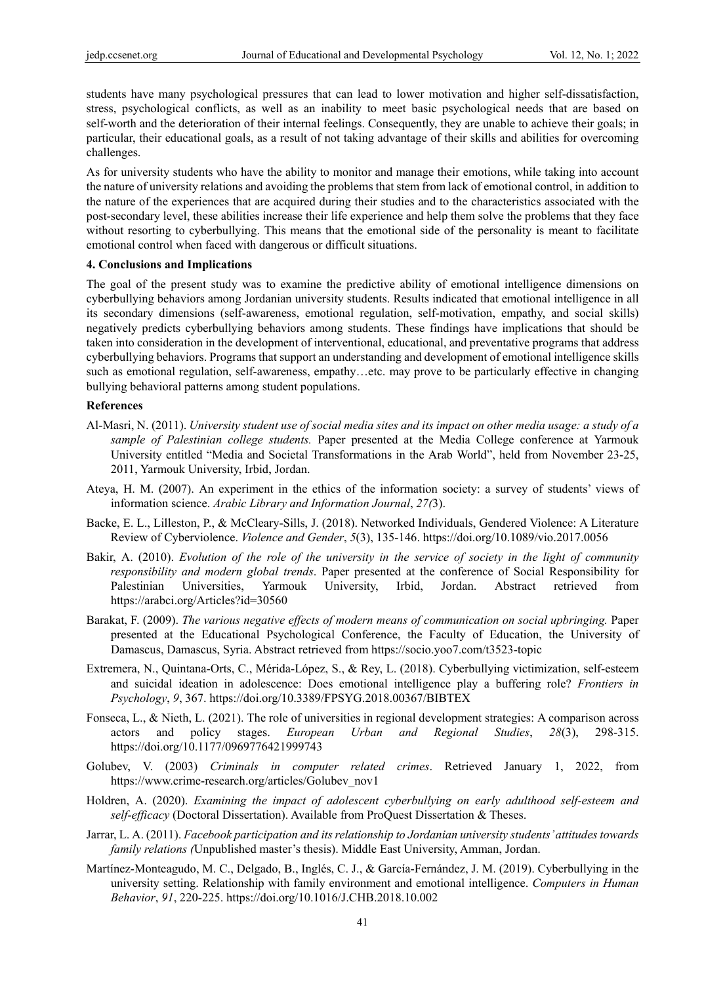students have many psychological pressures that can lead to lower motivation and higher self-dissatisfaction, stress, psychological conflicts, as well as an inability to meet basic psychological needs that are based on self-worth and the deterioration of their internal feelings. Consequently, they are unable to achieve their goals; in particular, their educational goals, as a result of not taking advantage of their skills and abilities for overcoming challenges.

As for university students who have the ability to monitor and manage their emotions, while taking into account the nature of university relations and avoiding the problems that stem from lack of emotional control, in addition to the nature of the experiences that are acquired during their studies and to the characteristics associated with the post-secondary level, these abilities increase their life experience and help them solve the problems that they face without resorting to cyberbullying. This means that the emotional side of the personality is meant to facilitate emotional control when faced with dangerous or difficult situations.

### **4. Conclusions and Implications**

The goal of the present study was to examine the predictive ability of emotional intelligence dimensions on cyberbullying behaviors among Jordanian university students. Results indicated that emotional intelligence in all its secondary dimensions (self-awareness, emotional regulation, self-motivation, empathy, and social skills) negatively predicts cyberbullying behaviors among students. These findings have implications that should be taken into consideration in the development of interventional, educational, and preventative programs that address cyberbullying behaviors. Programs that support an understanding and development of emotional intelligence skills such as emotional regulation, self-awareness, empathy...etc. may prove to be particularly effective in changing bullying behavioral patterns among student populations.

#### **References**

- Al-Masri, N. (2011). *University student use of social media sites and its impact on other media usage: a study of a sample of Palestinian college students.* Paper presented at the Media College conference at Yarmouk University entitled "Media and Societal Transformations in the Arab World", held from November 23-25, 2011, Yarmouk University, Irbid, Jordan.
- Ateya, H. M. (2007). An experiment in the ethics of the information society: a survey of students' views of information science. *Arabic Library and Information Journal*, *27(*3).
- Backe, E. L., Lilleston, P., & McCleary-Sills, J. (2018). Networked Individuals, Gendered Violence: A Literature Review of Cyberviolence. *Violence and Gender*, *5*(3), 135-146. https://doi.org/10.1089/vio.2017.0056
- Bakir, A. (2010). *Evolution of the role of the university in the service of society in the light of community responsibility and modern global trends*. Paper presented at the conference of Social Responsibility for Palestinian Universities, Yarmouk University, Irbid, Jordan. Abstract retrieved from https://arabci.org/Articles?id=30560
- Barakat, F. (2009). *The various negative effects of modern means of communication on social upbringing.* Paper presented at the Educational Psychological Conference, the Faculty of Education, the University of Damascus, Damascus, Syria. Abstract retrieved from https://socio.yoo7.com/t3523-topic
- Extremera, N., Quintana-Orts, C., Mérida-López, S., & Rey, L. (2018). Cyberbullying victimization, self-esteem and suicidal ideation in adolescence: Does emotional intelligence play a buffering role? *Frontiers in Psychology*, *9*, 367. https://doi.org/10.3389/FPSYG.2018.00367/BIBTEX
- Fonseca, L., & Nieth, L. (2021). The role of universities in regional development strategies: A comparison across actors and policy stages. *European Urban and Regional Studies*, *28*(3), 298-315. https://doi.org/10.1177/0969776421999743
- Golubev, V. (2003) *Criminals in computer related crimes*. Retrieved January 1, 2022, from https://www.crime-research.org/articles/Golubev\_nov1
- Holdren, A. (2020). *Examining the impact of adolescent cyberbullying on early adulthood self-esteem and self-efficacy* (Doctoral Dissertation). Available from ProQuest Dissertation & Theses.
- Jarrar, L. A. (2011). *Facebook participation and its relationship to Jordanian university students' attitudes towards family relations (*Unpublished master's thesis). Middle East University, Amman, Jordan.
- Martínez-Monteagudo, M. C., Delgado, B., Inglés, C. J., & García-Fernández, J. M. (2019). Cyberbullying in the university setting. Relationship with family environment and emotional intelligence. *Computers in Human Behavior*, *91*, 220-225. https://doi.org/10.1016/J.CHB.2018.10.002